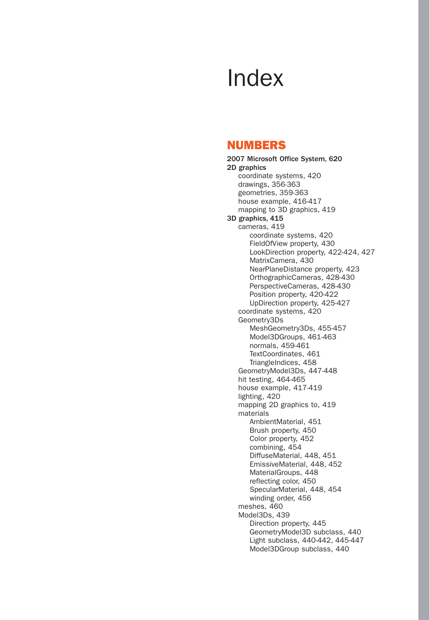# Index

## NUMBERS

2007 Microsoft Office System, 620 2D graphics coordinate systems, 420 drawings, 356-363 geometries, 359-363 house example, 416-417 mapping to 3D graphics, 419 3D graphics, 415 cameras, 419 coordinate systems, 420 FieldOfView property, 430 LookDirection property, 422-424, 427 MatrixCamera, 430 NearPlaneDistance property, 423 OrthographicCameras, 428-430 PerspectiveCameras, 428-430 Position property, 420-422 UpDirection property, 425-427 coordinate systems, 420 Geometry3Ds MeshGeometry3Ds, 455-457 Model3DGroups, 461-463 normals, 459-461 TextCoordinates, 461 TriangleIndices, 458 GeometryModel3Ds, 447-448 hit testing, 464-465 house example, 417-419 lighting, 420 mapping 2D graphics to, 419 materials AmbientMaterial, 451 Brush property, 450 Color property, 452 combining, 454 DiffuseMaterial, 448, 451 EmissiveMaterial, 448, 452 MaterialGroups, 448 reflecting color, 450 SpecularMaterial, 448, 454 winding order, 456 meshes, 460 Model3Ds, 439 Direction property, 445 GeometryModel3D subclass, 440 Light subclass, 440-442, 445-447 Model3DGroup subclass, 440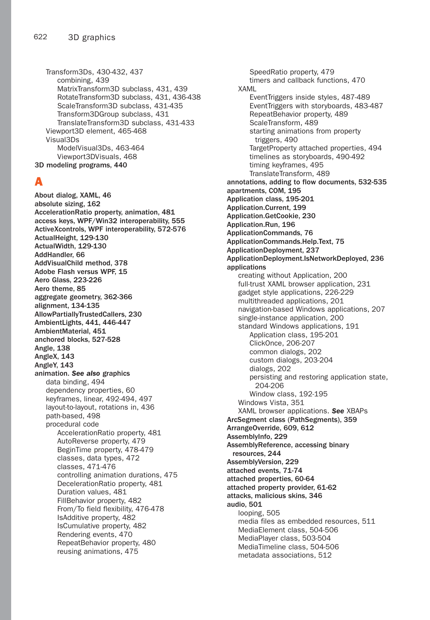Transform3Ds, 430-432, 437 combining, 439 MatrixTransform3D subclass, 431, 439 RotateTransform3D subclass, 431, 436-438 ScaleTransform3D subclass, 431-435 Transform3DGroup subclass, 431 TranslateTransform3D subclass, 431-433 Viewport3D element, 465-468 Visual3Ds ModelVisual3Ds, 463-464 Viewport3DVisuals, 468 3D modeling programs, 440

## A

About dialog, XAML, 46 absolute sizing, 162 AccelerationRatio property, animation, 481 access keys, WPF/Win32 interoperability, 555 ActiveXcontrols, WPF interoperability, 572-576 ActualHeight, 129-130 ActualWidth, 129-130 AddHandler, 66 AddVisualChild method, 378 Adobe Flash versus WPF, 15 Aero Glass, 223-226 Aero theme, 85 aggregate geometry, 362-366 alignment, 134-135 AllowPartiallyTrustedCallers, 230 AmbientLights, 441, 446-447 AmbientMaterial, 451 anchored blocks, 527-528 Angle, 138 AngleX, 143 AngleY, 143 animation. *See also* graphics data binding, 494 dependency properties, 60 keyframes, linear, 492-494, 497 layout-to-layout, rotations in, 436 path-based, 498 procedural code AccelerationRatio property, 481 AutoReverse property, 479 BeginTime property, 478-479 classes, data types, 472 classes, 471-476 controlling animation durations, 475 DecelerationRatio property, 481 Duration values, 481 FillBehavior property, 482 From/To field flexibility, 476-478 IsAdditive property, 482 IsCumulative property, 482 Rendering events, 470 RepeatBehavior property, 480 reusing animations, 475

SpeedRatio property, 479 timers and callback functions, 470 XAML EventTriggers inside styles, 487-489 EventTriggers with storyboards, 483-487 RepeatBehavior property, 489 ScaleTransform, 489 starting animations from property triggers, 490 TargetProperty attached properties, 494 timelines as storyboards, 490-492 timing keyframes, 495 TranslateTransform, 489 annotations, adding to flow documents, 532-535 apartments, COM, 195 Application class, 195-201 Application.Current, 199 Application.GetCookie, 230 Application.Run, 196 ApplicationCommands, 76 ApplicationCommands.Help.Text, 75 ApplicationDeployment, 237 ApplicationDeployment.IsNetworkDeployed, 236 applications creating without Application, 200 full-trust XAML browser application, 231 gadget style applications, 226-229 multithreaded applications, 201 navigation-based Windows applications, 207 single-instance application, 200 standard Windows applications, 191 Application class, 195-201 ClickOnce, 206-207 common dialogs, 202 custom dialogs, 203-204 dialogs, 202 persisting and restoring application state, 204-206 Window class, 192-195 Windows Vista, 351 XAML browser applications. *See* XBAPs ArcSegment class (PathSegments), 359 ArrangeOverride, 609, 612 AssemblyInfo, 229 AssemblyReference, accessing binary resources, 244 AssemblyVersion, 229 attached events, 71-74 attached properties, 60-64 attached property provider, 61-62 attacks, malicious skins, 346 audio, 501 looping, 505 media files as embedded resources, 511 MediaElement class, 504-506 MediaPlayer class, 503-504 MediaTimeline class, 504-506 metadata associations, 512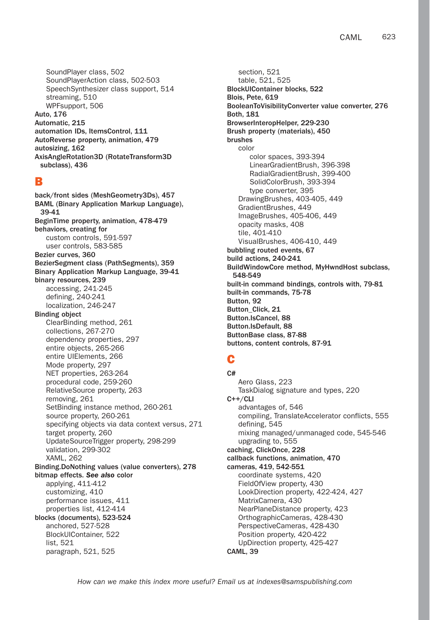SoundPlayer class, 502 SoundPlayerAction class, 502-503 SpeechSynthesizer class support, 514 streaming, 510 WPFsupport, 506 Auto, 176 Automatic, 215 automation IDs, ItemsControl, 111 AutoReverse property, animation, 479 autosizing, 162 AxisAngleRotation3D (RotateTransform3D subclass), 436

## B

back/front sides (MeshGeometry3Ds), 457 BAML (Binary Application Markup Language), 39-41 BeginTime property, animation, 478-479 behaviors, creating for custom controls, 591-597 user controls, 583-585 Bezier curves, 360 BezierSegment class (PathSegments), 359 Binary Application Markup Language, 39-41 binary resources, 239 accessing, 241-245 defining, 240-241 localization, 246-247 Binding object ClearBinding method, 261 collections, 267-270 dependency properties, 297 entire objects, 265-266 entire UIElements, 266 Mode property, 297 NET properties, 263-264 procedural code, 259-260 RelativeSource property, 263 removing, 261 SetBinding instance method, 260-261 source property, 260-261 specifying objects via data context versus, 271 target property, 260 UpdateSourceTrigger property, 298-299 validation, 299-302 XAML, 262 Binding.DoNothing values (value converters), 278 bitmap effects. *See also* color applying, 411-412 customizing, 410 performance issues, 411 properties list, 412-414 blocks (documents), 523-524 anchored, 527-528 BlockUIContainer, 522 list, 521 paragraph, 521, 525

section, 521 table, 521, 525 BlockUIContainer blocks, 522 Blois, Pete, 619 BooleanToVisibilityConverter value converter, 276 Both, 181 BrowserInteropHelper, 229-230 Brush property (materials), 450 brushes color color spaces, 393-394 LinearGradientBrush, 396-398 RadialGradientBrush, 399-400 SolidColorBrush, 393-394 type converter, 395 DrawingBrushes, 403-405, 449 GradientBrushes, 449 ImageBrushes, 405-406, 449 opacity masks, 408 tile, 401-410 VisualBrushes, 406-410, 449 bubbling routed events, 67 build actions, 240-241 BuildWindowCore method, MyHwndHost subclass, 548-549 built-in command bindings, controls with, 79-81 built-in commands, 75-78 Button, 92 Button\_Click, 21 Button.IsCancel, 88 Button.IsDefault, 88 ButtonBase class, 87-88 buttons, content controls, 87-91

## C

C# Aero Glass, 223 TaskDialog signature and types, 220 C++/CLI advantages of, 546 compiling, TranslateAccelerator conflicts, 555 defining, 545 mixing managed/unmanaged code, 545-546 upgrading to, 555 caching, ClickOnce, 228 callback functions, animation, 470 cameras, 419, 542-551 coordinate systems, 420 FieldOfView property, 430 LookDirection property, 422-424, 427 MatrixCamera, 430 NearPlaneDistance property, 423 OrthographicCameras, 428-430 PerspectiveCameras, 428-430 Position property, 420-422 UpDirection property, 425-427 CAML, 39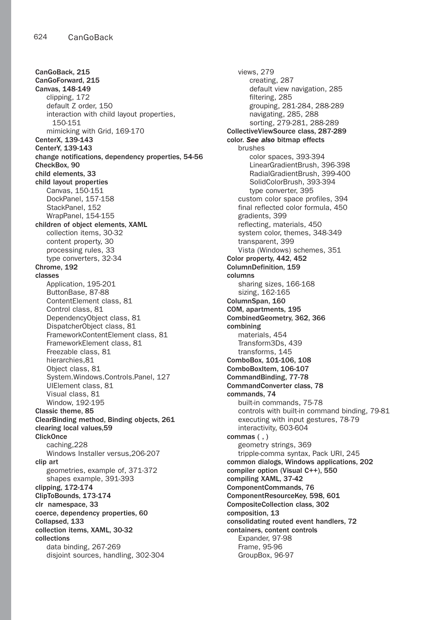CanGoBack, 215 CanGoForward, 215 Canvas, 148-149 clipping, 172 default Z order, 150 interaction with child layout properties, 150-151 mimicking with Grid, 169-170 CenterX, 139-143 CenterY, 139-143 change notifications, dependency properties, 54-56 CheckBox, 90 child elements, 33 child layout properties Canvas, 150-151 DockPanel, 157-158 StackPanel, 152 WrapPanel, 154-155 children of object elements, XAML collection items, 30-32 content property, 30 processing rules, 33 type converters, 32-34 Chrome, 192 classes Application, 195-201 ButtonBase, 87-88 ContentElement class, 81 Control class, 81 DependencyObject class, 81 DispatcherObject class, 81 FrameworkContentElement class, 81 FrameworkElement class, 81 Freezable class, 81 hierarchies,81 Object class, 81 System.Windows.Controls.Panel, 127 UIElement class, 81 Visual class, 81 Window, 192-195 Classic theme, 85 ClearBinding method, Binding objects, 261 clearing local values,59 **ClickOnce** caching,228 Windows Installer versus,206-207 clip art geometries, example of, 371-372 shapes example, 391-393 clipping, 172-174 ClipToBounds, 173-174 clr namespace, 33 coerce, dependency properties, 60 Collapsed, 133 collection items, XAML, 30-32 collections data binding, 267-269 disjoint sources, handling, 302-304

views, 279 creating, 287 default view navigation, 285 filtering, 285 grouping, 281-284, 288-289 navigating, 285, 288 sorting, 279-281, 288-289 CollectiveViewSource class, 287-289 color. *See also* bitmap effects brushes color spaces, 393-394 LinearGradientBrush, 396-398 RadialGradientBrush, 399-400 SolidColorBrush, 393-394 type converter, 395 custom color space profiles, 394 final reflected color formula, 450 gradients, 399 reflecting, materials, 450 system color, themes, 348-349 transparent, 399 Vista (Windows) schemes, 351 Color property, 442, 452 ColumnDefinition, 159 columns sharing sizes, 166-168 sizing, 162-165 ColumnSpan, 160 COM, apartments, 195 CombinedGeometry, 362, 366 combining materials, 454 Transform3Ds, 439 transforms, 145 ComboBox, 101-106, 108 ComboBoxItem, 106-107 CommandBinding, 77-78 CommandConverter class, 78 commands, 74 built-in commands, 75-78 controls with built-in command binding, 79-81 executing with input gestures, 78-79 interactivity, 603-604 commas ( , ) geometry strings, 369 tripple-comma syntax, Pack URI, 245 common dialogs, Windows applications, 202 compiler option (Visual C++), 550 compiling XAML, 37-42 ComponentCommands, 76 ComponentResourceKey, 598, 601 CompositeCollection class, 302 composition, 13 consolidating routed event handlers, 72 containers, content controls Expander, 97-98 Frame, 95-96 GroupBox, 96-97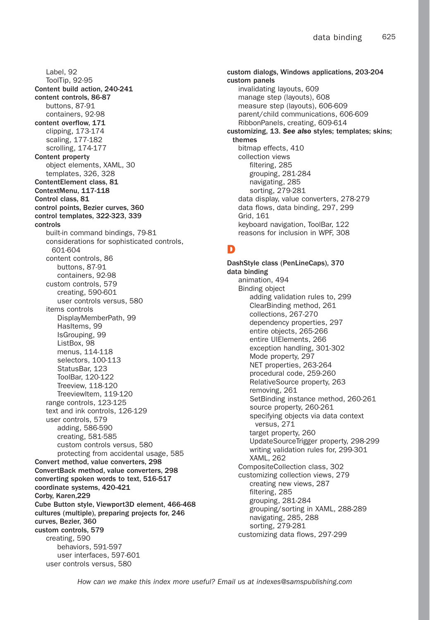Label, 92 ToolTip, 92-95 Content build action, 240-241 content controls, 86-87 buttons, 87-91 containers, 92-98 content overflow, 171 clipping, 173-174 scaling, 177-182 scrolling, 174-177 Content property object elements, XAML, 30 templates, 326, 328 ContentElement class, 81 ContextMenu, 117-118 Control class, 81 control points, Bezier curves, 360 control templates, 322-323, 339 controls built-in command bindings, 79-81 considerations for sophisticated controls, 601-604 content controls, 86 buttons, 87-91 containers, 92-98 custom controls, 579 creating, 590-601 user controls versus, 580 items controls DisplayMemberPath, 99 HasItems, 99 IsGrouping, 99 ListBox, 98 menus, 114-118 selectors, 100-113 StatusBar, 123 ToolBar, 120-122 Treeview, 118-120 TreeviewItem, 119-120 range controls, 123-125 text and ink controls, 126-129 user controls, 579 adding, 586-590 creating, 581-585 custom controls versus, 580 protecting from accidental usage, 585 Convert method, value converters, 298 ConvertBack method, value converters, 298 converting spoken words to text, 516-517 coordinate systems, 420-421 Corby, Karen,229 Cube Button style, Viewport3D element, 466-468 cultures (multiple), preparing projects for, 246 curves, Bezier, 360 custom controls, 579 creating, 590 behaviors, 591-597 user interfaces, 597-601 user controls versus, 580

custom dialogs, Windows applications, 203-204 custom panels invalidating layouts, 609 manage step (layouts), 608 measure step (layouts), 606-609 parent/child communications, 606-609 RibbonPanels, creating, 609-614 customizing, 13. *See also* styles; templates; skins; themes bitmap effects, 410 collection views filtering, 285 grouping, 281-284 navigating, 285 sorting, 279-281 data display, value converters, 278-279 data flows, data binding, 297, 299 Grid, 161 keyboard navigation, ToolBar, 122 reasons for inclusion in WPF, 308

## D

DashStyle class (PenLineCaps), 370 data binding animation, 494 Binding object adding validation rules to, 299 ClearBinding method, 261 collections, 267-270 dependency properties, 297 entire objects, 265-266 entire UIElements, 266 exception handling, 301-302 Mode property, 297 NET properties, 263-264 procedural code, 259-260 RelativeSource property, 263 removing, 261 SetBinding instance method, 260-261 source property, 260-261 specifying objects via data context versus, 271 target property, 260 UpdateSourceTrigger property, 298-299 writing validation rules for, 299-301 XAML, 262 CompositeCollection class, 302 customizing collection views, 279 creating new views, 287 filtering, 285 grouping, 281-284 grouping/sorting in XAML, 288-289 navigating, 285, 288 sorting, 279-281 customizing data flows, 297-299

*How can we make this index more useful? Email us at indexes@samspublishing.com*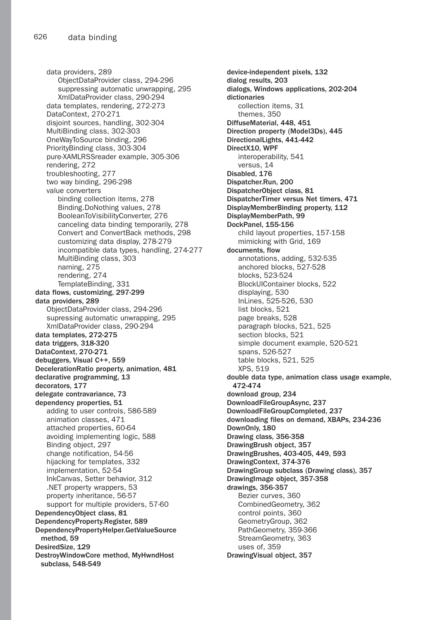data providers, 289 ObjectDataProvider class, 294-296 suppressing automatic unwrapping, 295 XmlDataProvider class, 290-294 data templates, rendering, 272-273 DataContext, 270-271 disjoint sources, handling, 302-304 MultiBinding class, 302-303 OneWayToSource binding, 296 PriorityBinding class, 303-304 pure-XAMLRSSreader example, 305-306 rendering, 272 troubleshooting, 277 two way binding, 296-298 value converters binding collection items, 278 Binding.DoNothing values, 278 BooleanToVisibilityConverter, 276 canceling data binding temporarily, 278 Convert and ConvertBack methods, 298 customizing data display, 278-279 incompatible data types, handling, 274-277 MultiBinding class, 303 naming, 275 rendering, 274 TemplateBinding, 331 data flows, customizing, 297-299 data providers, 289 ObjectDataProvider class, 294-296 supressing automatic unwrapping, 295 XmlDataProvider class, 290-294 data templates, 272-275 data triggers, 318-320 DataContext, 270-271 debuggers, Visual C++, 559 DecelerationRatio property, animation, 481 declarative programming, 13 decorators, 177 delegate contravariance, 73 dependency properties, 51 adding to user controls, 586-589 animation classes, 471 attached properties, 60-64 avoiding implementing logic, 588 Binding object, 297 change notification, 54-56 hijacking for templates, 332 implementation, 52-54 InkCanvas, Setter behavior, 312 .NET property wrappers, 53 property inheritance, 56-57 support for multiple providers, 57-60 DependencyObject class, 81 DependencyProperty.Register, 589 DependencyPropertyHelper.GetValueSource method, 59 DesiredSize, 129 DestroyWindowCore method, MyHwndHost subclass, 548-549

device-independent pixels, 132 dialog results, 203 dialogs, Windows applications, 202-204 dictionaries collection items, 31 themes, 350 DiffuseMaterial, 448, 451 Direction property (Model3Ds), 445 DirectionalLights, 441-442 DirectX10, WPF interoperability, 541 versus, 14 Disabled, 176 Dispatcher.Run, 200 DispatcherObject class, 81 DispatcherTimer versus Net timers, 471 DisplayMemberBinding property, 112 DisplayMemberPath, 99 DockPanel, 155-156 child layout properties, 157-158 mimicking with Grid, 169 documents, flow annotations, adding, 532-535 anchored blocks, 527-528 blocks, 523-524 BlockUIContainer blocks, 522 displaying, 530 InLines, 525-526, 530 list blocks, 521 page breaks, 528 paragraph blocks, 521, 525 section blocks, 521 simple document example, 520-521 spans, 526-527 table blocks, 521, 525 XPS, 519 double data type, animation class usage example, 472-474 download group, 234 DownloadFileGroupAsync, 237 DownloadFileGroupCompleted, 237 downloading files on demand, XBAPs, 234-236 DownOnly, 180 Drawing class, 356-358 DrawingBrush object, 357 DrawingBrushes, 403-405, 449, 593 DrawingContext, 374-376 DrawingGroup subclass (Drawing class), 357 DrawingImage object, 357-358 drawings, 356-357 Bezier curves, 360 CombinedGeometry, 362 control points, 360 GeometryGroup, 362 PathGeometry, 359-366 StreamGeometry, 363 uses of, 359 DrawingVisual object, 357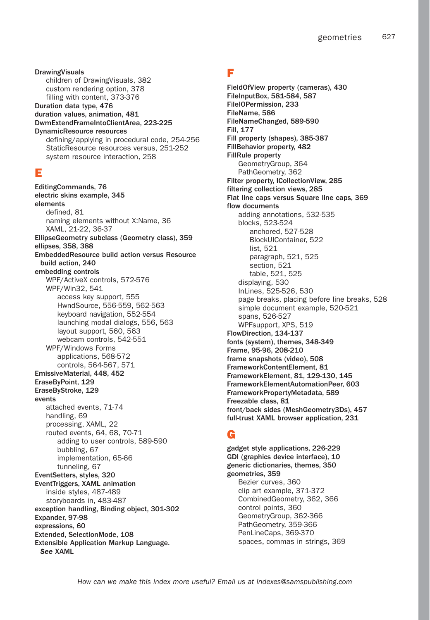DrawingVisuals children of DrawingVisuals, 382 custom rendering option, 378 filling with content, 373-376 Duration data type, 476 duration values, animation, 481 DwmExtendFrameIntoClientArea, 223-225 DynamicResource resources defining/applying in procedural code, 254-256 StaticResource resources versus, 251-252 system resource interaction, 258

## E

EditingCommands, 76 electric skins example, 345 elements defined, 81 naming elements without X:Name, 36 XAML, 21-22, 36-37 EllipseGeometry subclass (Geometry class), 359 ellipses, 358, 388 EmbeddedResource build action versus Resource build action, 240 embedding controls WPF/ActiveX controls, 572-576 WPF/Win32, 541 access key support, 555 HwndSource, 556-559, 562-563 keyboard navigation, 552-554 launching modal dialogs, 556, 563 layout support, 560, 563 webcam controls, 542-551 WPF/Windows Forms applications, 568-572 controls, 564-567, 571 EmissiveMaterial, 448, 452 EraseByPoint, 129 EraseByStroke, 129 events attached events, 71-74 handling, 69 processing, XAML, 22 routed events, 64, 68, 70-71 adding to user controls, 589-590 bubbling, 67 implementation, 65-66 tunneling, 67 EventSetters, styles, 320 EventTriggers, XAML animation inside styles, 487-489 storyboards in, 483-487 exception handling, Binding object, 301-302 Expander, 97-98 expressions, 60 Extended, SelectionMode, 108 Extensible Application Markup Language. *See* XAML

# F

FieldOfView property (cameras), 430 FileInputBox, 581-584, 587 FileIOPermission, 233 FileName, 586 FileNameChanged, 589-590 Fill, 177 Fill property (shapes), 385-387 FillBehavior property, 482 FillRule property GeometryGroup, 364 PathGeometry, 362 Filter property, ICollectionView, 285 filtering collection views, 285 Flat line caps versus Square line caps, 369 flow documents adding annotations, 532-535 blocks, 523-524 anchored, 527-528 BlockUIContainer, 522 list, 521 paragraph, 521, 525 section, 521 table, 521, 525 displaying, 530 InLines, 525-526, 530 page breaks, placing before line breaks, 528 simple document example, 520-521 spans, 526-527 WPFsupport, XPS, 519 FlowDirection, 134-137 fonts (system), themes, 348-349 Frame, 95-96, 208-210 frame snapshots (video), 508 FrameworkContentElement, 81 FrameworkElement, 81, 129-130, 145 FrameworkElementAutomationPeer, 603 FrameworkPropertyMetadata, 589 Freezable class, 81 front/back sides (MeshGeometry3Ds), 457 full-trust XAML browser application, 231

## G

gadget style applications, 226-229 GDI (graphics device interface), 10 generic dictionaries, themes, 350 geometries, 359 Bezier curves, 360 clip art example, 371-372 CombinedGeometry, 362, 366 control points, 360 GeometryGroup, 362-366 PathGeometry, 359-366 PenLineCaps, 369-370 spaces, commas in strings, 369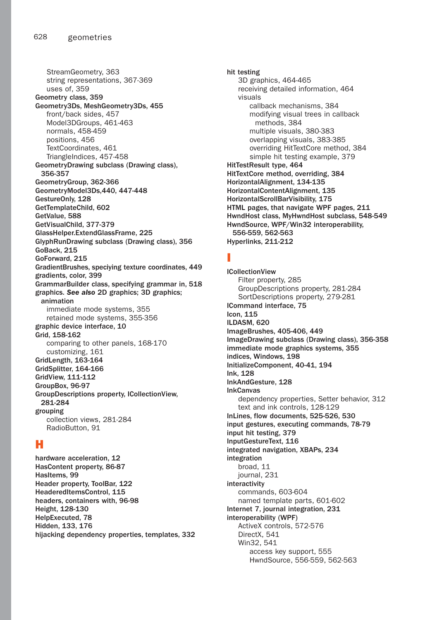StreamGeometry, 363 string representations, 367-369 uses of, 359 Geometry class, 359 Geometry3Ds, MeshGeometry3Ds, 455 front/back sides, 457 Model3DGroups, 461-463 normals, 458-459 positions, 456 TextCoordinates, 461 TriangleIndices, 457-458 GeometryDrawing subclass (Drawing class), 356-357 GeometryGroup, 362-366 GeometryModel3Ds,440, 447-448 GestureOnly, 128 GetTemplateChild, 602 GetValue, 588 GetVisualChild, 377-379 GlassHelper.ExtendGlassFrame, 225 GlyphRunDrawing subclass (Drawing class), 356 GoBack, 215 GoForward, 215 GradientBrushes, speciying texture coordinates, 449 gradients, color, 399 GrammarBuilder class, specifying grammar in, 518 graphics. *See also* 2D graphics; 3D graphics; animation immediate mode systems, 355 retained mode systems, 355-356 graphic device interface, 10 Grid, 158-162 comparing to other panels, 168-170 customizing, 161 GridLength, 163-164 GridSplitter, 164-166 GridView, 111-112 GroupBox, 96-97 GroupDescriptions property, ICollectionView, 281-284 grouping collection views, 281-284 RadioButton, 91

## H

hardware acceleration, 12 HasContent property, 86-87 HasItems, 99 Header property, ToolBar, 122 HeaderedItemsControl, 115 headers, containers with, 96-98 Height, 128-130 HelpExecuted, 78 Hidden, 133, 176 hijacking dependency properties, templates, 332 hit testing 3D graphics, 464-465 receiving detailed information, 464 visuals callback mechanisms, 384 modifying visual trees in callback methods, 384 multiple visuals, 380-383 overlapping visuals, 383-385 overriding HitTextCore method, 384 simple hit testing example, 379 HitTestResult type, 464 HitTextCore method, overriding, 384 HorizontalAlignment, 134-135 HorizontalContentAlignment, 135 HorizontalScrollBarVisibility, 175 HTML pages, that navigate WPF pages, 211 HwndHost class, MyHwndHost subclass, 548-549 HwndSource, WPF/Win32 interoperability, 556-559, 562-563 Hyperlinks, 211-212

# I

ICollectionView Filter property, 285 GroupDescriptions property, 281-284 SortDescriptions property, 279-281 ICommand interface, 75 Icon, 115 ILDASM, 620 ImageBrushes, 405-406, 449 ImageDrawing subclass (Drawing class), 356-358 immediate mode graphics systems, 355 indices, Windows, 198 InitializeComponent, 40-41, 194 Ink, 128 InkAndGesture, 128 InkCanvas dependency properties, Setter behavior, 312 text and ink controls, 128-129 InLines, flow documents, 525-526, 530 input gestures, executing commands, 78-79 input hit testing, 379 InputGestureText, 116 integrated navigation, XBAPs, 234 integration broad, 11 journal, 231 interactivity commands, 603-604 named template parts, 601-602 Internet 7, journal integration, 231 interoperability (WPF) ActiveX controls, 572-576 DirectX, 541 Win32, 541 access key support, 555 HwndSource, 556-559, 562-563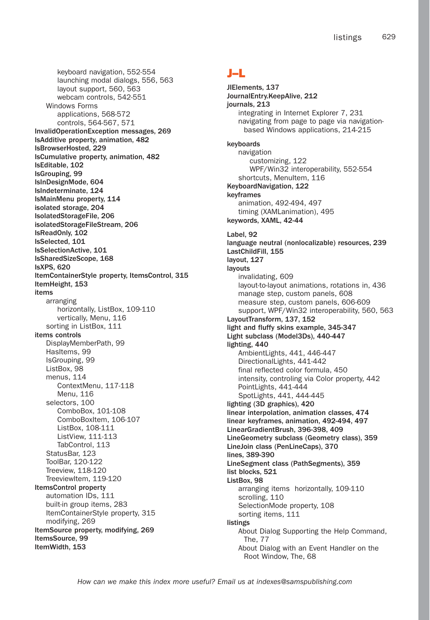keyboard navigation, 552-554 launching modal dialogs, 556, 563 layout support, 560, 563 webcam controls, 542-551 Windows Forms applications, 568-572 controls, 564-567, 571 InvalidOperationException messages, 269 IsAdditive property, animation, 482 IsBrowserHosted, 229 IsCumulative property, animation, 482 IsEditable, 102 IsGrouping, 99 IsInDesignMode, 604 IsIndeterminate, 124 IsMainMenu property, 114 isolated storage, 204 IsolatedStorageFile, 206 isolatedStorageFileStream, 206 IsReadOnly, 102 IsSelected, 101 IsSelectionActive, 101 IsSharedSizeScope, 168 IsXPS, 620 ItemContainerStyle property, ItemsControl, 315 ItemHeight, 153 items arranging horizontally, ListBox, 109-110 vertically, Menu, 116 sorting in ListBox, 111 items controls DisplayMemberPath, 99 HasItems, 99 IsGrouping, 99 ListBox, 98 menus, 114 ContextMenu, 117-118 Menu, 116 selectors, 100 ComboBox, 101-108 ComboBoxItem, 106-107 ListBox, 108-111 ListView, 111-113 TabControl, 113 StatusBar, 123 ToolBar, 120-122 Treeview, 118-120 TreeviewItem, 119-120 ItemsControl property automation IDs, 111 built-in group items, 283 ItemContainerStyle property, 315 modifying, 269 ItemSource property, modifying, 269 ItemsSource, 99 ItemWidth, 153

# J–L

JIElements, 137 JournalEntry.KeepAlive, 212 journals, 213 integrating in Internet Explorer 7, 231 navigating from page to page via navigationbased Windows applications, 214-215 keyboards navigation customizing, 122 WPF/Win32 interoperability, 552-554 shortcuts, MenuItem, 116 KeyboardNavigation, 122 keyframes animation, 492-494, 497 timing (XAMLanimation), 495 keywords, XAML, 42-44 Label, 92 language neutral (nonlocalizable) resources, 239 LastChildFill, 155 layout, 127 layouts invalidating, 609 layout-to-layout animations, rotations in, 436 manage step, custom panels, 608 measure step, custom panels, 606-609 support, WPF/Win32 interoperability, 560, 563 LayoutTransform, 137, 152 light and fluffy skins example, 345-347 Light subclass (Model3Ds), 440-447 lighting, 440 AmbientLights, 441, 446-447 DirectionalLights, 441-442 final reflected color formula, 450 intensity, controling via Color property, 442 PointLights, 441-444 SpotLights, 441, 444-445 lighting (3D graphics), 420 linear interpolation, animation classes, 474 linear keyframes, animation, 492-494, 497 LinearGradientBrush, 396-398, 409 LineGeometry subclass (Geometry class), 359 LineJoin class (PenLineCaps), 370 lines, 389-390 LineSegment class (PathSegments), 359 list blocks, 521 ListBox, 98 arranging items horizontally, 109-110 scrolling, 110 SelectionMode property, 108 sorting items, 111 listings About Dialog Supporting the Help Command, The, 77 About Dialog with an Event Handler on the Root Window, The, 68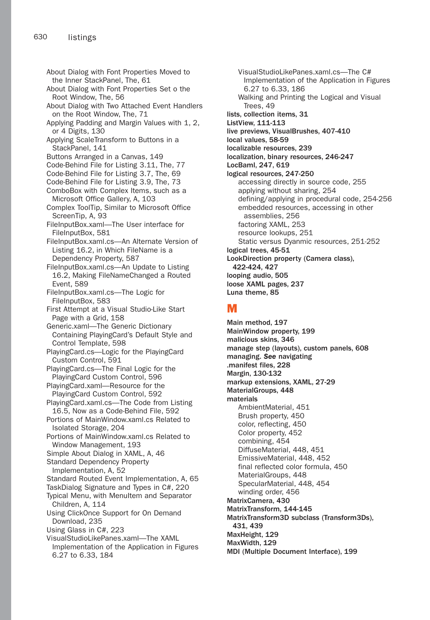About Dialog with Font Properties Moved to the Inner StackPanel, The, 61 About Dialog with Font Properties Set o the Root Window, The, 56 About Dialog with Two Attached Event Handlers on the Root Window, The, 71 Applying Padding and Margin Values with 1, 2, or 4 Digits, 130 Applying ScaleTransform to Buttons in a StackPanel, 141 Buttons Arranged in a Canvas, 149 Code-Behind File for Listing 3.11, The, 77 Code-Behind File for Listing 3.7, The, 69 Code-Behind File for Listing 3.9, The, 73 ComboBox with Complex Items, such as a Microsoft Office Gallery, A, 103 Complex ToolTip, Similar to Microsoft Office ScreenTip, A, 93 FileInputBox.xaml-The User interface for FileInputBox, 581 FileInputBox.xaml.cs—An Alternate Version of Listing 16.2, in Which FileName is a Dependency Property, 587 FileInputBox.xaml.cs-An Update to Listing 16.2, Making FileNameChanged a Routed Event, 589 FileInputBox.xaml.cs—The Logic for FileInputBox, 583 First Attempt at a Visual Studio-Like Start Page with a Grid, 158 Generic.xaml—The Generic Dictionary Containing PlayingCard's Default Style and Control Template, 598 PlayingCard.cs—Logic for the PlayingCard Custom Control, 591 PlayingCard.cs—The Final Logic for the PlayingCard Custom Control, 596 PlayingCard.xaml—Resource for the PlayingCard Custom Control, 592 PlayingCard.xaml.cs—The Code from Listing 16.5, Now as a Code-Behind File, 592 Portions of MainWindow.xaml.cs Related to Isolated Storage, 204 Portions of MainWindow.xaml.cs Related to Window Management, 193 Simple About Dialog in XAML, A, 46 Standard Dependency Property Implementation, A, 52 Standard Routed Event Implementation, A, 65 TaskDialog Signature and Types in C#, 220 Typical Menu, with MenuItem and Separator Children, A, 114 Using ClickOnce Support for On Demand Download, 235 Using Glass in C#, 223 VisualStudioLikePanes.xaml—The XAML Implementation of the Application in Figures 6.27 to 6.33, 184

VisualStudioLikePanes.xaml.cs—The C# Implementation of the Application in Figures 6.27 to 6.33, 186 Walking and Printing the Logical and Visual Trees, 49 lists, collection items, 31 ListView, 111-113 live previews, VisualBrushes, 407-410 local values, 58-59 localizable resources, 239 localization, binary resources, 246-247 LocBaml, 247, 619 logical resources, 247-250 accessing directly in source code, 255 applying without sharing, 254 defining/applying in procedural code, 254-256 embedded resources, accessing in other assemblies, 256 factoring XAML, 253 resource lookups, 251 Static versus Dyanmic resources, 251-252 logical trees, 45-51 LookDirection property (Camera class), 422-424, 427 looping audio, 505 loose XAML pages, 237 Luna theme, 85

#### M

Main method, 197 MainWindow property, 199 malicious skins, 346 manage step (layouts), custom panels, 608 managing. *See* navigating .manifest files, 228 Margin, 130-132 markup extensions, XAML, 27-29 MaterialGroups, 448 materials AmbientMaterial, 451 Brush property, 450 color, reflecting, 450 Color property, 452 combining, 454 DiffuseMaterial, 448, 451 EmissiveMaterial, 448, 452 final reflected color formula, 450 MaterialGroups, 448 SpecularMaterial, 448, 454 winding order, 456 MatrixCamera, 430 MatrixTransform, 144-145 MatrixTransform3D subclass (Transform3Ds), 431, 439 MaxHeight, 129 MaxWidth, 129 MDI (Multiple Document Interface), 199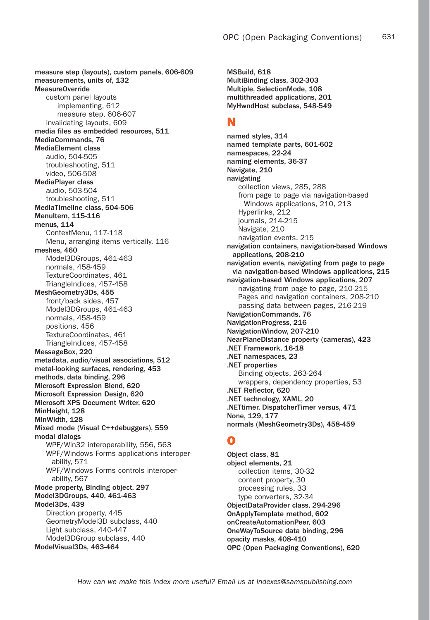measure step (layouts), custom panels, 606-609 measurements, units of, 132 MeasureOverride custom panel layouts implementing, 612 measure step, 606-607 invalidating layouts, 609 media files as embedded resources, 511 MediaCommands, 76 MediaElement class audio, 504-505 troubleshooting, 511 video, 506-508 MediaPlayer class audio, 503-504 troubleshooting, 511 MediaTimeline class, 504-506 MenuItem, 115-116 menus, 114 ContextMenu, 117-118 Menu, arranging items vertically, 116 meshes, 460 Model3DGroups, 461-463 normals, 458-459 TextureCoordinates, 461 TriangleIndices, 457-458 MeshGeometry3Ds, 455 front/back sides, 457 Model3DGroups, 461-463 normals, 458-459 positions, 456 TextureCoordinates, 461 TriangleIndices, 457-458 MessageBox, 220 metadata, audio/visual associations, 512 metal-looking surfaces, rendering, 453 methods, data binding, 296 Microsoft Expression Blend, 620 Microsoft Expression Design, 620 Microsoft XPS Document Writer, 620 MinHeight, 128 MinWidth, 128 Mixed mode (Visual C++debuggers), 559 modal dialogs WPF/Win32 interoperability, 556, 563 WPF/Windows Forms applications interoperability, 571 WPF/Windows Forms controls interoperability, 567 Mode property, Binding object, 297 Model3DGroups, 440, 461-463 Model3Ds, 439 Direction property, 445 GeometryModel3D subclass, 440 Light subclass, 440-447 Model3DGroup subclass, 440 ModelVisual3Ds, 463-464

MSBuild, 618 MultiBinding class, 302-303 Multiple, SelectionMode, 108 multithreaded applications, 201 MyHwndHost subclass, 548-549

#### N

named styles, 314 named template parts, 601-602 namespaces, 22-24 naming elements, 36-37 Navigate, 210 navigating collection views, 285, 288 from page to page via navigation-based Windows applications, 210, 213 Hyperlinks, 212 journals, 214-215 Navigate, 210 navigation events, 215 navigation containers, navigation-based Windows applications, 208-210 navigation events, navigating from page to page via navigation-based Windows applications, 215 navigation-based Windows applications, 207 navigating from page to page, 210-215 Pages and navigation containers, 208-210 passing data between pages, 216-219 NavigationCommands, 76 NavigationProgress, 216 NavigationWindow, 207-210 NearPlaneDistance property (cameras), 423 .NET Framework, 16-18 .NET namespaces, 23 .NET properties Binding objects, 263-264 wrappers, dependency properties, 53 .NET Reflector, 620 .NET technology, XAML, 20 .NETtimer, DispatcherTimer versus, 471 None, 129, 177 normals (MeshGeometry3Ds), 458-459

## O

Object class, 81 object elements, 21 collection items, 30-32 content property, 30 processing rules, 33 type converters, 32-34 ObjectDataProvider class, 294-296 OnApplyTemplate method, 602 onCreateAutomationPeer, 603 OneWayToSource data binding, 296 opacity masks, 408-410 OPC (Open Packaging Conventions), 620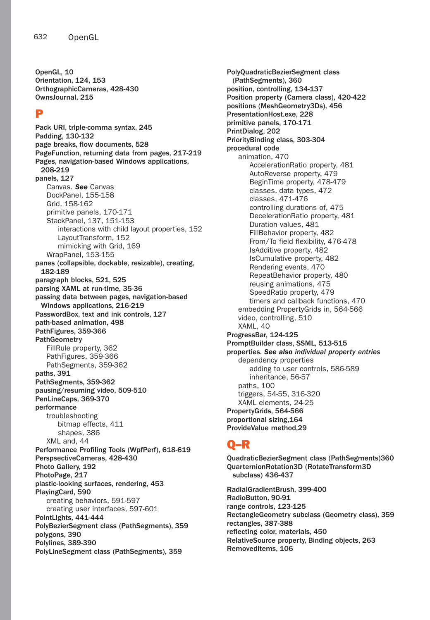OpenGL, 10 Orientation, 124, 153 OrthographicCameras, 428-430 OwnsJournal, 215

#### P

Pack URI, triple-comma syntax, 245 Padding, 130-132 page breaks, flow documents, 528 PageFunction, returning data from pages, 217-219 Pages, navigation-based Windows applications, 208-219 panels, 127 Canvas. *See* Canvas DockPanel, 155-158 Grid, 158-162 primitive panels, 170-171 StackPanel, 137, 151-153 interactions with child layout properties, 152 LayoutTransform, 152 mimicking with Grid, 169 WrapPanel, 153-155 panes (collapsible, dockable, resizable), creating, 182-189 paragraph blocks, 521, 525 parsing XAML at run-time, 35-36 passing data between pages, navigation-based Windows applications, 216-219 PasswordBox, text and ink controls, 127 path-based animation, 498 PathFigures, 359-366 **PathGeometry** FillRule property, 362 PathFigures, 359-366 PathSegments, 359-362 paths, 391 PathSegments, 359-362 pausing/resuming video, 509-510 PenLineCaps, 369-370 performance troubleshooting bitmap effects, 411 shapes, 386 XML and, 44 Performance Profiling Tools (WpfPerf), 618-619 PerspsectiveCameras, 428-430 Photo Gallery, 192 PhotoPage, 217 plastic-looking surfaces, rendering, 453 PlayingCard, 590 creating behaviors, 591-597 creating user interfaces, 597-601 PointLights, 441-444 PolyBezierSegment class (PathSegments), 359 polygons, 390 Polylines, 389-390 PolyLineSegment class (PathSegments), 359

PolyQuadraticBezierSegment class (PathSegments), 360 position, controlling, 134-137 Position property (Camera class), 420-422 positions (MeshGeometry3Ds), 456 PresentationHost.exe, 228 primitive panels, 170-171 PrintDialog, 202 PriorityBinding class, 303-304 procedural code animation, 470 AccelerationRatio property, 481 AutoReverse property, 479 BeginTime property, 478-479 classes, data types, 472 classes, 471-476 controlling durations of, 475 DecelerationRatio property, 481 Duration values, 481 FillBehavior property, 482 From/To field flexibility, 476-478 IsAdditive property, 482 IsCumulative property, 482 Rendering events, 470 RepeatBehavior property, 480 reusing animations, 475 SpeedRatio property, 479 timers and callback functions, 470 embedding PropertyGrids in, 564-566 video, controlling, 510 XAML, 40 ProgressBar, 124-125 PromptBuilder class, SSML, 513-515 properties. *See also individual property entries* dependency properties adding to user controls, 586-589 inheritance, 56-57 paths, 100 triggers, 54-55, 316-320 XAML elements, 24-25 PropertyGrids, 564-566 proportional sizing,164 ProvideValue method,29

## Q–R

QuadraticBezierSegment class (PathSegments)360 QuarternionRotation3D (RotateTransform3D subclass) 436-437 RadialGradientBrush, 399-400 RadioButton, 90-91 range controls, 123-125 RectangleGeometry subclass (Geometry class), 359 rectangles, 387-388 reflecting color, materials, 450

RelativeSource property, Binding objects, 263 RemovedItems, 106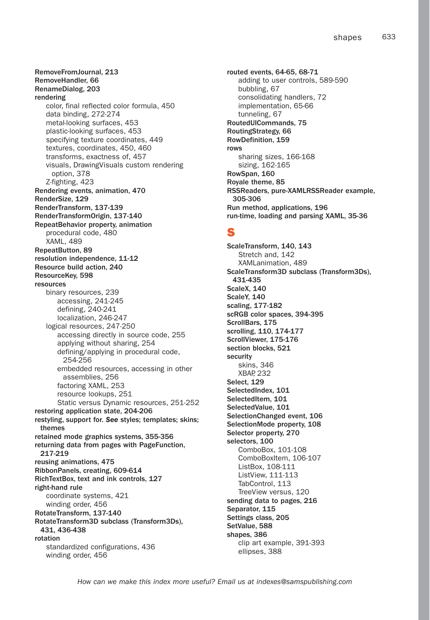RemoveFromJournal, 213 RemoveHandler, 66 RenameDialog, 203 rendering color, final reflected color formula, 450 data binding, 272-274 metal-looking surfaces, 453 plastic-looking surfaces, 453 specifying texture coordinates, 449 textures, coordinates, 450, 460 transforms, exactness of, 457 visuals, DrawingVisuals custom rendering option, 378 Z-fighting, 423 Rendering events, animation, 470 RenderSize, 129 RenderTransform, 137-139 RenderTransformOrigin, 137-140 RepeatBehavior property, animation procedural code, 480 XAML, 489 RepeatButton, 89 resolution independence, 11-12 Resource build action, 240 ResourceKey, 598 resources binary resources, 239 accessing, 241-245 defining, 240-241 localization, 246-247 logical resources, 247-250 accessing directly in source code, 255 applying without sharing, 254 defining/applying in procedural code, 254-256 embedded resources, accessing in other assemblies, 256 factoring XAML, 253 resource lookups, 251 Static versus Dynamic resources, 251-252 restoring application state, 204-206 restyling, support for. *See* styles; templates; skins; themes retained mode graphics systems, 355-356 returning data from pages with PageFunction, 217-219 reusing animations, 475 RibbonPanels, creating, 609-614 RichTextBox, text and ink controls, 127 right-hand rule coordinate systems, 421 winding order, 456 RotateTransform, 137-140 RotateTransform3D subclass (Transform3Ds), 431, 436-438 rotation standardized configurations, 436 winding order, 456

routed events, 64-65, 68-71 adding to user controls, 589-590 bubbling, 67 consolidating handlers, 72 implementation, 65-66 tunneling, 67 RoutedUICommands, 75 RoutingStrategy, 66 RowDefinition, 159 rows sharing sizes, 166-168 sizing, 162-165 RowSpan, 160 Royale theme, 85 RSSReaders, pure-XAMLRSSReader example, 305-306 Run method, applications, 196 run-time, loading and parsing XAML, 35-36

#### S

ScaleTransform, 140, 143 Stretch and, 142 XAMLanimation, 489 ScaleTransform3D subclass (Transform3Ds), 431-435 ScaleX, 140 ScaleY, 140 scaling, 177-182 scRGB color spaces, 394-395 ScrollBars, 175 scrolling, 110, 174-177 ScrollViewer, 175-176 section blocks, 521 security skins, 346 XBAP, 232 Select, 129 SelectedIndex, 101 SelectedItem, 101 SelectedValue, 101 SelectionChanged event, 106 SelectionMode property, 108 Selector property, 270 selectors, 100 ComboBox, 101-108 ComboBoxItem, 106-107 ListBox, 108-111 ListView, 111-113 TabControl, 113 TreeView versus, 120 sending data to pages, 216 Separator, 115 Settings class, 205 SetValue, 588 shapes, 386 clip art example, 391-393 ellipses, 388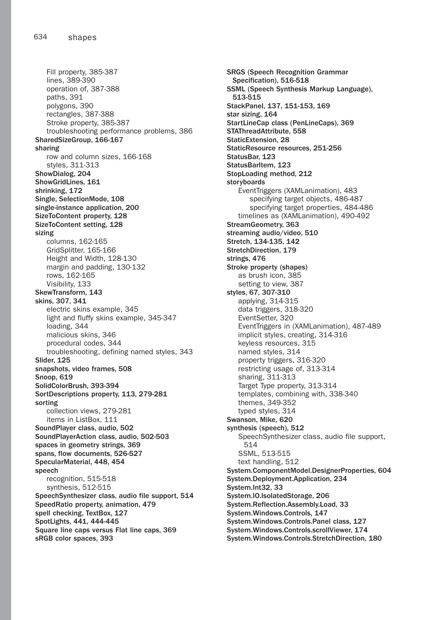Fill property, 385-387 lines, 389-390 operation of, 387-388 paths, 391 polygons, 390 rectangles, 387-388 Stroke property, 385-387 troubleshooting performance problems, 386 SharedSizeGroup, 166-167 sharing row and column sizes, 166-168 styles, 311-313 ShowDialog, 204 ShowGridLines, 161 shrinking, 172 Single, SelectionMode, 108 single-instance application, 200 SizeToContent property, 128 SizeToContent setting, 128 sizing columns, 162-165 GridSplitter, 165-166 Height and Width, 128-130 margin and padding, 130-132 rows, 162-165 Visibility, 133 SkewTransform, 143 skins, 307, 341 electric skins example, 345 light and fluffy skins example, 345-347 loading, 344 malicious skins, 346 procedural codes, 344 troubleshooting, defining named styles, 343 Slider, 125 snapshots, video frames, 508 Snoop, 619 SolidColorBrush, 393-394 SortDescriptions property, 113, 279-281 sorting collection views, 279-281 items in ListBox, 111 SoundPlayer class, audio, 502 SoundPlayerAction class, audio, 502-503 spaces in geometry strings, 369 spans, flow documents, 526-527 SpecularMaterial, 448, 454 speech recognition, 515-518 synthesis, 512-515 SpeechSynthesizer class, audio file support, 514 SpeedRatio property, animation, 479 spell checking, TextBox, 127 SpotLights, 441, 444-445 Square line caps versus Flat line caps, 369 sRGB color spaces, 393

SRGS (Speech Recognition Grammar Specification), 516-518 SSML (Speech Synthesis Markup Language), 513-515 StackPanel, 137, 151-153, 169 star sizing, 164 StartLineCap class (PenLineCaps), 369 STAThreadAttribute, 558 StaticExtension, 28 StaticResource resources, 251-256 StatusBar, 123 StatusBarItem, 123 StopLoading method, 212 storyboards EventTriggers (XAMLanimation), 483 specifying target objects, 486-487 specifying target properties, 484-486 timelines as (XAMLanimation), 490-492 StreamGeometry, 363 streaming audio/video, 510 Stretch, 134-135, 142 StretchDirection, 179 strings, 476 Stroke property (shapes) as brush icon, 385 setting to view, 387 styles, 67, 307-310 applying, 314-315 data triggers, 318-320 EventSetter, 320 EventTriggers in (XAMLanimation), 487-489 implicit styles, creating, 314-316 keyless resources, 315 named styles, 314 property triggers, 316-320 restricting usage of, 313-314 sharing, 311-313 Target Type property, 313-314 templates, combining with, 338-340 themes, 349-352 typed styles, 314 Swanson, Mike, 620 synthesis (speech), 512 SpeechSynthesizer class, audio file support, 514 SSML, 513-515 text handling, 512 System.ComponentModel.DesignerProperties, 604 System.Deployment.Application, 234 System.Int32, 33 System.IO.IsolatedStorage, 206 System.Reflection.Assembly.Load, 33 System.Windows.Controls, 147 System.Windows.Controls.Panel class, 127 System.Windows.Controls.scrollViewer, 174 System.Windows.Controls.StretchDirection, 180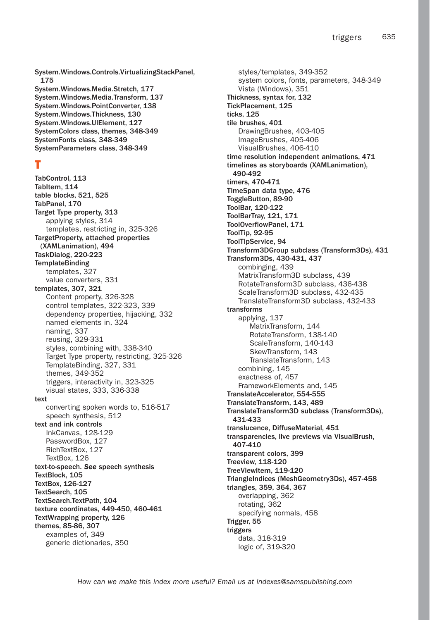System.Windows.Controls.VirtualizingStackPanel, 175 System.Windows.Media.Stretch, 177 System.Windows.Media.Transform, 137 System.Windows.PointConverter, 138 System.Windows.Thickness, 130 System.Windows.UIElement, 127 SystemColors class, themes, 348-349 SystemFonts class, 348-349 SystemParameters class, 348-349

## T

TabControl, 113 TabItem, 114 table blocks, 521, 525 TabPanel, 170 Target Type property, 313 applying styles, 314 templates, restricting in, 325-326 TargetProperty, attached properties (XAMLanimation), 494 TaskDialog, 220-223 **TemplateBinding** templates, 327 value converters, 331 templates, 307, 321 Content property, 326-328 control templates, 322-323, 339 dependency properties, hijacking, 332 named elements in, 324 naming, 337 reusing, 329-331 styles, combining with, 338-340 Target Type property, restricting, 325-326 TemplateBinding, 327, 331 themes, 349-352 triggers, interactivity in, 323-325 visual states, 333, 336-338 text converting spoken words to, 516-517 speech synthesis, 512 text and ink controls InkCanvas, 128-129 PasswordBox, 127 RichTextBox, 127 TextBox, 126 text-to-speech. *See* speech synthesis TextBlock, 105 TextBox, 126-127 TextSearch, 105 TextSearch.TextPath, 104 texture coordinates, 449-450, 460-461 TextWrapping property, 126 themes, 85-86, 307 examples of, 349 generic dictionaries, 350

styles/templates, 349-352 system colors, fonts, parameters, 348-349 Vista (Windows), 351 Thickness, syntax for, 132 TickPlacement, 125 ticks, 125 tile brushes, 401 DrawingBrushes, 403-405 ImageBrushes, 405-406 VisualBrushes, 406-410 time resolution independent animations, 471 timelines as storyboards (XAMLanimation), 490-492 timers, 470-471 TimeSpan data type, 476 ToggleButton, 89-90 ToolBar, 120-122 ToolBarTray, 121, 171 ToolOverflowPanel, 171 ToolTip, 92-95 ToolTipService, 94 Transform3DGroup subclass (Transform3Ds), 431 Transform3Ds, 430-431, 437 combinging, 439 MatrixTransform3D subclass, 439 RotateTransform3D subclass, 436-438 ScaleTransform3D subclass, 432-435 TranslateTransform3D subclass, 432-433 transforms applying, 137 MatrixTransform, 144 RotateTransform, 138-140 ScaleTransform, 140-143 SkewTransform, 143 TranslateTransform, 143 combining, 145 exactness of, 457 FrameworkElements and, 145 TranslateAccelerator, 554-555 TranslateTransform, 143, 489 TranslateTransform3D subclass (Transform3Ds), 431-433 translucence, DiffuseMaterial, 451 transparencies, live previews via VisualBrush, 407-410 transparent colors, 399 Treeview, 118-120 TreeViewItem, 119-120 TriangleIndices (MeshGeometry3Ds), 457-458 triangles, 359, 364, 367 overlapping, 362 rotating, 362 specifying normals, 458 Trigger, 55 triggers data, 318-319 logic of, 319-320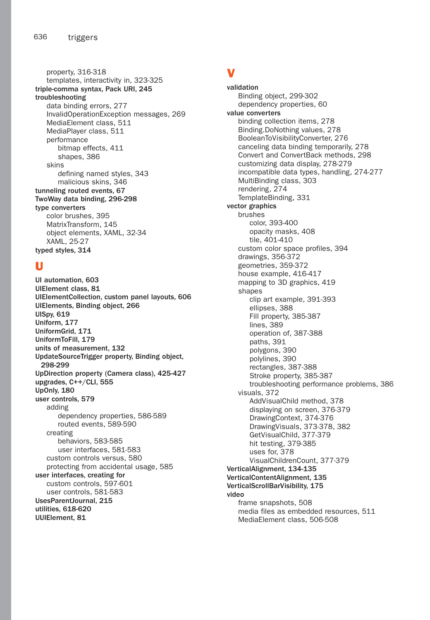property, 316-318 templates, interactivity in, 323-325 triple-comma syntax, Pack URI, 245 troubleshooting data binding errors, 277 InvalidOperationException messages, 269 MediaElement class, 511 MediaPlayer class, 511 performance bitmap effects, 411 shapes, 386 skins defining named styles, 343 malicious skins, 346 tunneling routed events, 67 TwoWay data binding, 296-298 type converters color brushes, 395 MatrixTransform, 145 object elements, XAML, 32-34 XAML, 25-27 typed styles, 314

#### U

UI automation, 603 UIElement class, 81 UIElementCollection, custom panel layouts, 606 UIElements, Binding object, 266 UISpy, 619 Uniform, 177 UniformGrid, 171 UniformToFill, 179 units of measurement, 132 UpdateSourceTrigger property, Binding object, 298-299 UpDirection property (Camera class), 425-427 upgrades, C++/CLI, 555 UpOnly, 180 user controls, 579 adding dependency properties, 586-589 routed events, 589-590 creating behaviors, 583-585 user interfaces, 581-583 custom controls versus, 580 protecting from accidental usage, 585 user interfaces, creating for custom controls, 597-601 user controls, 581-583 UsesParentJournal, 215 utilities, 618-620 UUIElement, 81

## V

validation Binding object, 299-302 dependency properties, 60 value converters binding collection items, 278 Binding.DoNothing values, 278 BooleanToVisibilityConverter, 276 canceling data binding temporarily, 278 Convert and ConvertBack methods, 298 customizing data display, 278-279 incompatible data types, handling, 274-277 MultiBinding class, 303 rendering, 274 TemplateBinding, 331 vector graphics brushes color, 393-400 opacity masks, 408 tile, 401-410 custom color space profiles, 394 drawings, 356-372 geometries, 359-372 house example, 416-417 mapping to 3D graphics, 419 shapes clip art example, 391-393 ellipses, 388 Fill property, 385-387 lines, 389 operation of, 387-388 paths, 391 polygons, 390 polylines, 390 rectangles, 387-388 Stroke property, 385-387 troubleshooting performance problems, 386 visuals, 372 AddVisualChild method, 378 displaying on screen, 376-379 DrawingContext, 374-376 DrawingVisuals, 373-378, 382 GetVisualChild, 377-379 hit testing, 379-385 uses for, 378 VisualChildrenCount, 377-379 VerticalAlignment, 134-135 VerticalContentAlignment, 135 VerticalScrollBarVisibility, 175 video frame snapshots, 508 media files as embedded resources, 511 MediaElement class, 506-508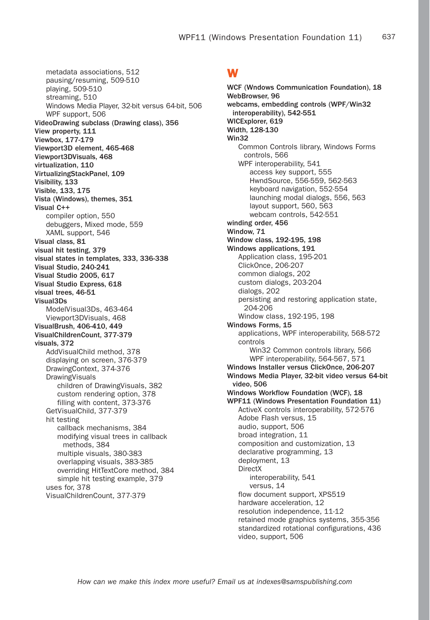metadata associations, 512 pausing/resuming, 509-510 playing, 509-510 streaming, 510 Windows Media Player, 32-bit versus 64-bit, 506 WPF support, 506 VideoDrawing subclass (Drawing class), 356 View property, 111 Viewbox, 177-179 Viewport3D element, 465-468 Viewport3DVisuals, 468 virtualization, 110 VirtualizingStackPanel, 109 Visibility, 133 Visible, 133, 175 Vista (Windows), themes, 351 Visual C++ compiler option, 550 debuggers, Mixed mode, 559 XAML support, 546 Visual class, 81 visual hit testing, 379 visual states in templates, 333, 336-338 Visual Studio, 240-241 Visual Studio 2005, 617 Visual Studio Express, 618 visual trees, 46-51 Visual3Ds ModelVisual3Ds, 463-464 Viewport3DVisuals, 468 VisualBrush, 406-410, 449 VisualChildrenCount, 377-379 visuals, 372 AddVisualChild method, 378 displaying on screen, 376-379 DrawingContext, 374-376 **DrawingVisuals** children of DrawingVisuals, 382 custom rendering option, 378 filling with content, 373-376 GetVisualChild, 377-379 hit testing callback mechanisms, 384 modifying visual trees in callback methods, 384 multiple visuals, 380-383 overlapping visuals, 383-385 overriding HitTextCore method, 384 simple hit testing example, 379 uses for, 378 VisualChildrenCount, 377-379

#### W

WCF (Wndows Communication Foundation), 18 WebBrowser, 96 webcams, embedding controls (WPF/Win32 interoperability), 542-551 WICExplorer, 619 Width, 128-130 Win32 Common Controls library, Windows Forms controls, 566 WPF interoperability, 541 access key support, 555 HwndSource, 556-559, 562-563 keyboard navigation, 552-554 launching modal dialogs, 556, 563 layout support, 560, 563 webcam controls, 542-551 winding order, 456 Window, 71 Window class, 192-195, 198 Windows applications, 191 Application class, 195-201 ClickOnce, 206-207 common dialogs, 202 custom dialogs, 203-204 dialogs, 202 persisting and restoring application state, 204-206 Window class, 192-195, 198 Windows Forms, 15 applications, WPF interoperability, 568-572 controls Win32 Common controls library, 566 WPF interoperability, 564-567, 571 Windows Installer versus ClickOnce, 206-207 Windows Media Player, 32-bit video versus 64-bit video, 506 Windows Workflow Foundation (WCF), 18 WPF11 (Windows Presentation Foundation 11) ActiveX controls interoperability, 572-576 Adobe Flash versus, 15 audio, support, 506 broad integration, 11 composition and customization, 13 declarative programming, 13 deployment, 13 DirectX interoperability, 541 versus, 14 flow document support, XPS519 hardware acceleration, 12 resolution independence, 11-12 retained mode graphics systems, 355-356 standardized rotational configurations, 436 video, support, 506